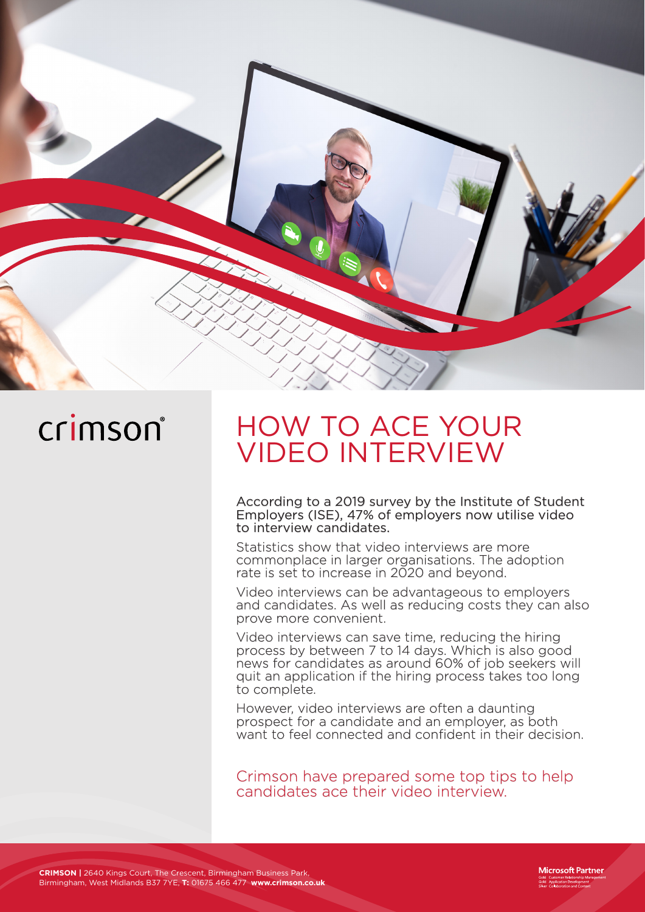

# crimson®

# HOW TO ACE YOUR VIDEO INTERVIEW

According to a 2019 survey by the Institute of Student Employers (ISE), 47% of employers now utilise video to interview candidates.

Statistics show that video interviews are more commonplace in larger organisations. The adoption rate is set to increase in 2020 and beyond.

Video interviews can be advantageous to employers and candidates. As well as reducing costs they can also prove more convenient.

Video interviews can save time, reducing the hiring process by between 7 to 14 days. Which is also good news for candidates as around 60% of job seekers will quit an application if the hiring process takes too long to complete.

However, video interviews are often a daunting prospect for a candidate and an employer, as both want to feel connected and confident in their decision.

Crimson have prepared some top tips to help candidates ace their video interview.